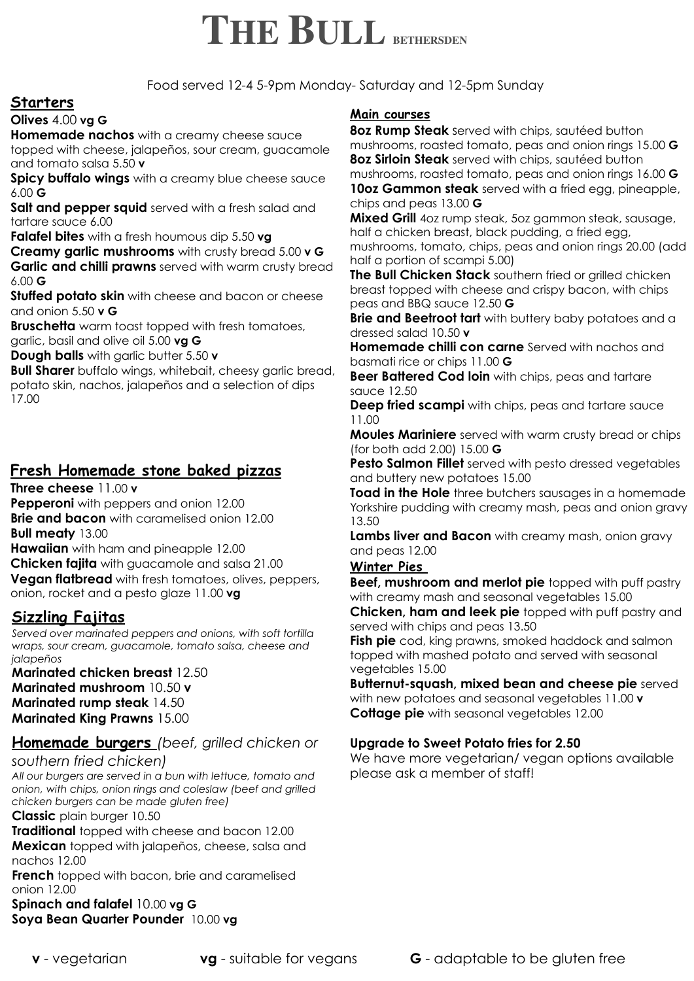# **THE BULL BETHERSDEN**

Food served 12-4 5-9pm Monday- Saturday and 12-5pm Sunday

# **Starters**

## **Olives** 4.00 **vg G**

**Homemade nachos** with a creamy cheese sauce topped with cheese, jalapeños, sour cream, guacamole and tomato salsa 5.50 **v** 

**Spicy buffalo wings** with a creamy blue cheese sauce 6.00 **G** 

**Salt and pepper squid** served with a fresh salad and tartare sauce 6.00

**Falafel bites** with a fresh houmous dip 5.50 **vg** 

**Creamy garlic mushrooms** with crusty bread 5.00 **v G Garlic and chilli prawns** served with warm crusty bread 6.00 **G** 

**Stuffed potato skin** with cheese and bacon or cheese and onion 5.50 **v G** 

**Bruschetta** warm toast topped with fresh tomatoes, garlic, basil and olive oil 5.00 **vg G** 

**Dough balls** with garlic butter 5.50 **v** 

**Bull Sharer** buffalo wings, whitebait, cheesy garlic bread, potato skin, nachos, jalapeños and a selection of dips 17.00

# **Fresh Homemade stone baked pizzas**

**Three cheese** 11.00 **v**

**Pepperoni** with peppers and onion 12.00 **Brie and bacon** with caramelised onion 12.00

**Bull meaty** 13.00

**Hawaiian** with ham and pineapple 12.00

**Chicken fajita** with guacamole and salsa 21.00

**Vegan flatbread** with fresh tomatoes, olives, peppers, onion, rocket and a pesto glaze 11.00 **vg**

# **Sizzling Fajitas**

*Served over marinated peppers and onions, with soft tortilla wraps, sour cream, guacamole, tomato salsa, cheese and jalapeños* 

**Marinated chicken breast** 12.50 **Marinated mushroom** 10.50 **v Marinated rump steak** 14.50 **Marinated King Prawns** 15.00

# **Homemade burgers** *(beef, grilled chicken or*

*southern fried chicken)* 

*All our burgers are served in a bun with lettuce, tomato and onion, with chips, onion rings and coleslaw (beef and grilled chicken burgers can be made gluten free)* 

**Classic** plain burger 10.50

**Traditional** topped with cheese and bacon 12.00

**Mexican** topped with jalapeños, cheese, salsa and nachos 12.00

**French** topped with bacon, brie and caramelised onion 12.00

**Spinach and falafel** 10.00 **vg G Soya Bean Quarter Pounder** 10.00 **vg** 

#### **Main courses**

**8oz Rump Steak** served with chips, sautéed button mushrooms, roasted tomato, peas and onion rings 15.00 **G 8oz Sirloin Steak** served with chips, sautéed button mushrooms, roasted tomato, peas and onion rings 16.00 **G 10oz Gammon steak** served with a fried egg, pineapple, chips and peas 13.00 **G** 

**Mixed Grill** 4oz rump steak, 5oz gammon steak, sausage, half a chicken breast, black pudding, a fried egg, mushrooms, tomato, chips, peas and onion rings 20.00 (add half a portion of scampi 5.00)

**The Bull Chicken Stack** southern fried or grilled chicken breast topped with cheese and crispy bacon, with chips peas and BBQ sauce 12.50 **G** 

**Brie and Beetroot tart** with buttery baby potatoes and a dressed salad 10.50 **v** 

**Homemade chilli con carne** Served with nachos and basmati rice or chips 11.00 **G** 

**Beer Battered Cod loin** with chips, peas and tartare sauce 12.50

**Deep fried scampi** with chips, peas and tartare sauce 11.00

**Moules Mariniere** served with warm crusty bread or chips (for both add 2.00) 15.00 **G**

**Pesto Salmon Fillet** served with pesto dressed vegetables and buttery new potatoes 15.00

**Toad in the Hole** three butchers sausages in a homemade Yorkshire pudding with creamy mash, peas and onion gravy 13.50

**Lambs liver and Bacon** with creamy mash, onion gravy and peas 12.00

## **Winter Pies**

**Beef, mushroom and merlot pie** topped with puff pastry with creamy mash and seasonal vegetables 15.00 **Chicken, ham and leek pie** topped with puff pastry and

served with chips and peas 13.50 **Fish pie** cod, king prawns, smoked haddock and salmon topped with mashed potato and served with seasonal vegetables 15.00

**Butternut-squash, mixed bean and cheese pie** served with new potatoes and seasonal vegetables 11.00 **v Cottage pie** with seasonal vegetables 12.00

## **Upgrade to Sweet Potato fries for 2.50**

We have more vegetarian/ vegan options available please ask a member of staff!